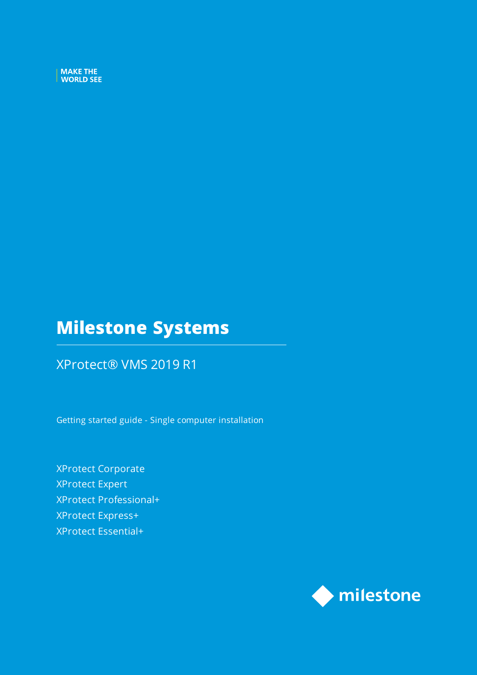MAKE THE WORLD SEE

# **Milestone Systems**

### XProtect® VMS 2019 R1

Getting started guide - Single computer installation

XProtect Corporate XProtect Expert XProtect Professional+ XProtect Express+ XProtect Essential+

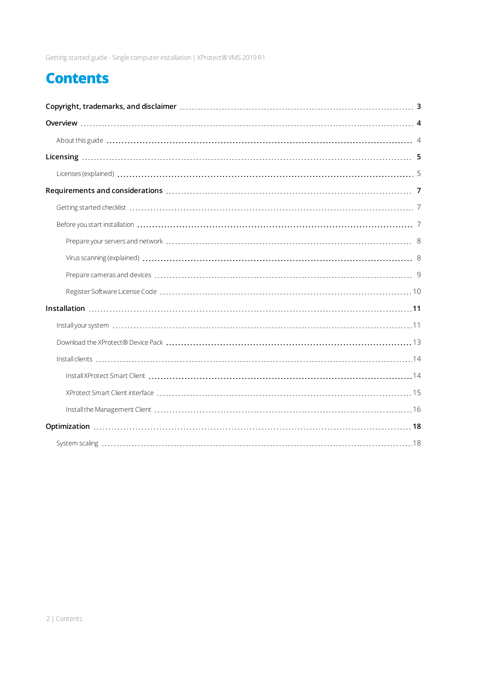Getting started guide - Single computerinstallation| XProtect® VMS 2019 R1

# **Contents**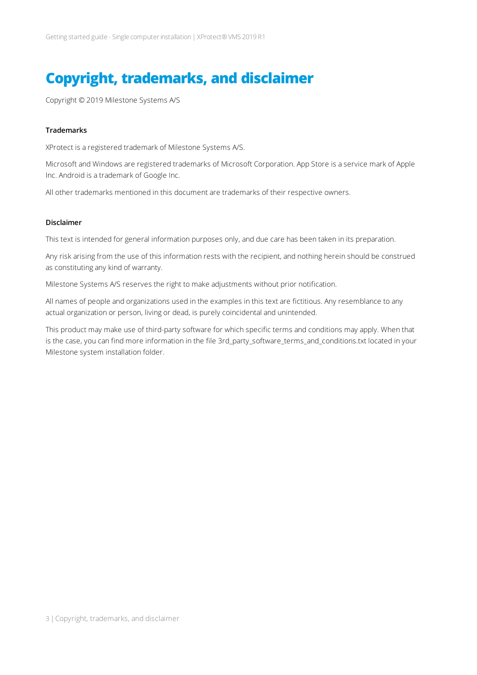# <span id="page-2-0"></span>**Copyright, trademarks, and disclaimer**

Copyright © 2019 Milestone Systems A/S

#### **Trademarks**

XProtect is a registered trademark of Milestone Systems A/S.

Microsoft and Windows are registered trademarks of Microsoft Corporation. App Store is a service mark of Apple Inc. Android is a trademark of Google Inc.

All other trademarks mentioned in this document are trademarks of their respective owners.

#### **Disclaimer**

This text is intended for general information purposes only, and due care has been taken in its preparation.

Any risk arising from the use of this information rests with the recipient, and nothing herein should be construed as constituting any kind of warranty.

Milestone Systems A/S reserves the right to make adjustments without prior notification.

All names of people and organizations used in the examples in this text are fictitious. Any resemblance to any actual organization or person, living or dead, is purely coincidental and unintended.

This product may make use of third-party software for which specific terms and conditions may apply. When that is the case, you can find more information in the file 3rd\_party\_software\_terms\_and\_conditions.txt located in your Milestone system installation folder.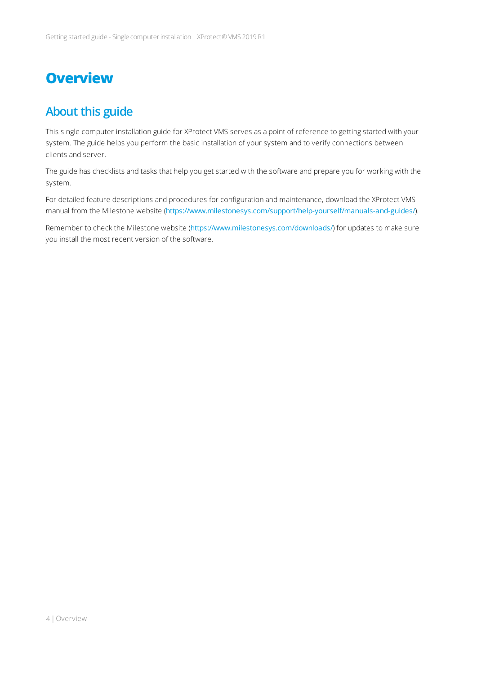## <span id="page-3-1"></span><span id="page-3-0"></span>**Overview**

## **About this guide**

This single computer installation guide for XProtect VMS serves as a point of reference to getting started with your system. The guide helps you perform the basic installation of your system and to verify connections between clients and server.

The guide has checklists and tasks that help you get started with the software and prepare you for working with the system.

For detailed feature descriptions and procedures for configuration and maintenance, download the XProtect VMS manual from the Milestone website (<https://www.milestonesys.com/support/help-yourself/manuals-and-guides/>).

Remember to check the Milestone website (<https://www.milestonesys.com/downloads/>) for updates to make sure you install the most recent version of the software.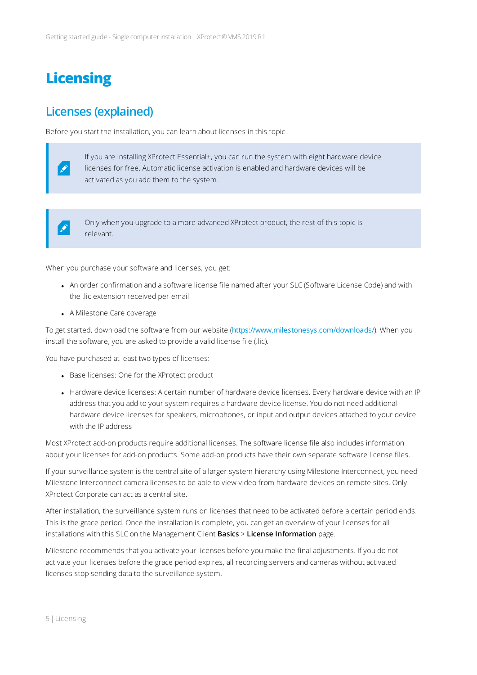# <span id="page-4-1"></span><span id="page-4-0"></span>**Licensing**

### **Licenses (explained)**

Before you start the installation, you can learn about licenses in this topic.



If you are installing XProtect Essential+, you can run the system with eight hardware device licenses for free. Automatic license activation is enabled and hardware devices will be activated as you add them to the system.



Only when you upgrade to a more advanced XProtect product, the rest of this topic is relevant.

When you purchase your software and licenses, you get:

- An order confirmation and a software license file named after your SLC (Software License Code) and with the .lic extension received per email
- A Milestone Care coverage

To get started, download the software from our website (<https://www.milestonesys.com/downloads/>). When you install the software, you are asked to provide a valid license file (.lic).

You have purchased at least two types of licenses:

- Base licenses: One for the XProtect product
- Hardware device licenses: A certain number of hardware device licenses. Every hardware device with an IP address that you add to your system requires a hardware device license. You do not need additional hardware device licenses for speakers, microphones, or input and output devices attached to your device with the IP address

Most XProtect add-on products require additional licenses. The software license file also includes information about your licenses for add-on products. Some add-on products have their own separate software license files.

If your surveillance system is the central site of a larger system hierarchy using Milestone Interconnect, you need Milestone Interconnect camera licenses to be able to view video from hardware devices on remote sites. Only XProtect Corporate can act as a central site.

After installation, the surveillance system runs on licenses that need to be activated before a certain period ends. This is the grace period. Once the installation is complete, you can get an overview of your licenses for all installations with this SLC on the Management Client **Basics** > **License Information** page.

Milestone recommends that you activate your licenses before you make the final adjustments. If you do not activate your licenses before the grace period expires, all recording servers and cameras without activated licenses stop sending data to the surveillance system.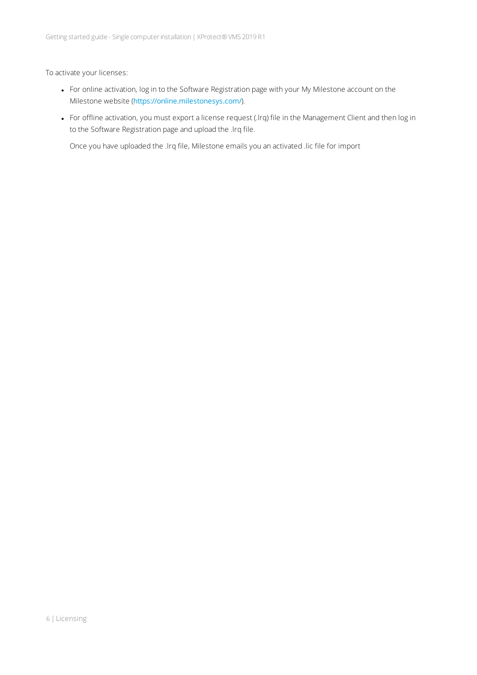To activate your licenses:

- For online activation, log in to the Software Registration page with your My Milestone account on the Milestone website (<https://online.milestonesys.com/>).
- For offline activation, you must export a license request (.lrq) file in the Management Client and then log in to the Software Registration page and upload the .lrq file.

Once you have uploaded the .lrq file, Milestone emails you an activated .lic file for import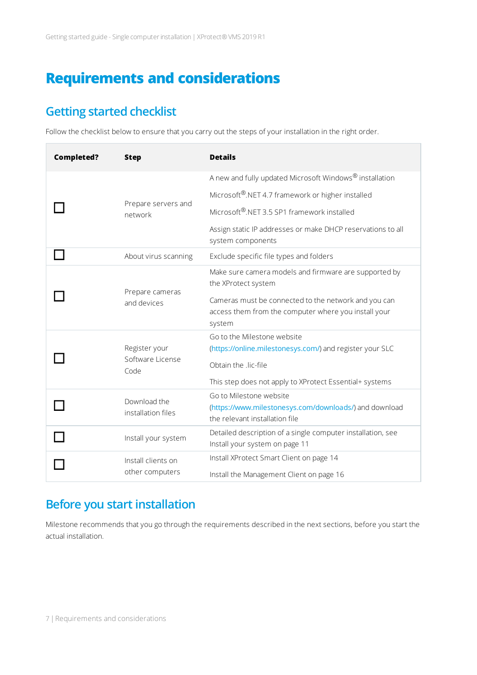# <span id="page-6-1"></span><span id="page-6-0"></span>**Requirements and considerations**

## **Getting started checklist**

Follow the checklist below to ensure that you carry out the steps of your installation in the right order.

| <b>Completed?</b> | <b>Step</b>                                                                     | <b>Details</b>                                                                                                         |
|-------------------|---------------------------------------------------------------------------------|------------------------------------------------------------------------------------------------------------------------|
|                   | Prepare servers and<br>network                                                  | A new and fully updated Microsoft Windows® installation                                                                |
|                   |                                                                                 | Microsoft®.NET 4.7 framework or higher installed                                                                       |
|                   |                                                                                 | Microsoft®.NET 3.5 SP1 framework installed                                                                             |
|                   |                                                                                 | Assign static IP addresses or make DHCP reservations to all<br>system components                                       |
|                   | About virus scanning                                                            | Exclude specific file types and folders                                                                                |
|                   | Prepare cameras<br>and devices                                                  | Make sure camera models and firmware are supported by<br>the XProtect system                                           |
|                   |                                                                                 | Cameras must be connected to the network and you can<br>access them from the computer where you install your<br>system |
|                   | Register your<br>Software License<br>Code<br>Download the<br>installation files | Go to the Milestone website                                                                                            |
|                   |                                                                                 | (https://online.milestonesys.com/) and register your SLC<br>Obtain the .lic-file                                       |
|                   |                                                                                 | This step does not apply to XProtect Essential+ systems<br>Go to Milestone website                                     |
|                   |                                                                                 | (https://www.milestonesys.com/downloads/) and download<br>the relevant installation file                               |
|                   | Install your system                                                             | Detailed description of a single computer installation, see<br>Install your system on page 11                          |
|                   | Install clients on<br>other computers                                           | Install XProtect Smart Client on page 14                                                                               |
|                   |                                                                                 | Install the Management Client on page 16                                                                               |

## <span id="page-6-2"></span>**Before you start installation**

Milestone recommends that you go through the requirements described in the next sections, before you start the actual installation.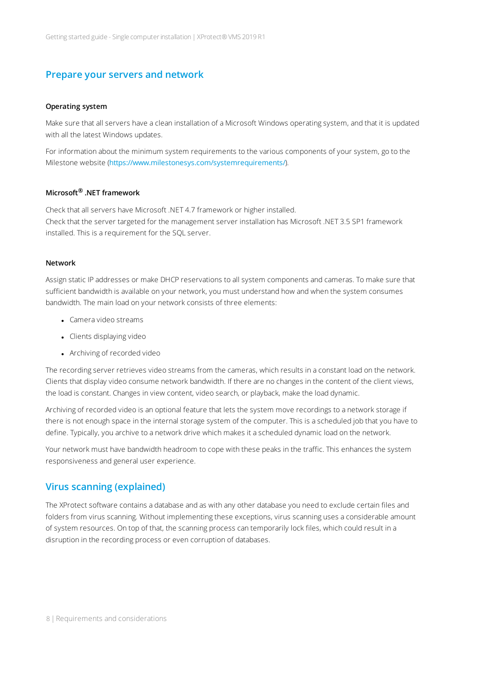#### <span id="page-7-0"></span>**Prepare your servers and network**

#### **Operating system**

Make sure that all servers have a clean installation of a Microsoft Windows operating system, and that it is updated with all the latest Windows updates.

For information about the minimum system requirements to the various components of your system, go to the Milestone website (<https://www.milestonesys.com/systemrequirements/>).

#### **Microsoft® .NET framework**

Check that all servers have Microsoft .NET 4.7 framework or higher installed. Check that the server targeted for the management server installation has Microsoft .NET 3.5 SP1 framework installed. This is a requirement for the SQL server.

#### **Network**

Assign static IP addresses or make DHCP reservations to all system components and cameras. To make sure that sufficient bandwidth is available on your network, you must understand how and when the system consumes bandwidth. The main load on your network consists of three elements:

- Camera video streams
- Clients displaying video
- Archiving of recorded video

The recording server retrieves video streams from the cameras, which results in a constant load on the network. Clients that display video consume network bandwidth. If there are no changes in the content of the client views, the load is constant. Changes in view content, video search, or playback, make the load dynamic.

Archiving of recorded video is an optional feature that lets the system move recordings to a network storage if there is not enough space in the internal storage system of the computer. This is a scheduled job that you have to define. Typically, you archive to a network drive which makes it a scheduled dynamic load on the network.

Your network must have bandwidth headroom to cope with these peaks in the traffic. This enhances the system responsiveness and general user experience.

#### <span id="page-7-1"></span>**Virus scanning (explained)**

The XProtect software contains a database and as with any other database you need to exclude certain files and folders from virus scanning. Without implementing these exceptions, virus scanning uses a considerable amount of system resources. On top of that, the scanning process can temporarily lock files, which could result in a disruption in the recording process or even corruption of databases.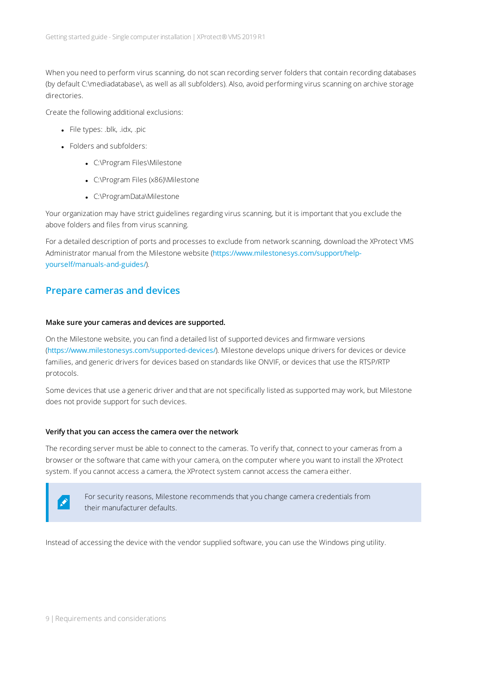When you need to perform virus scanning, do not scan recording server folders that contain recording databases (by default C:\mediadatabase\, as well as all subfolders). Also, avoid performing virus scanning on archive storage directories.

Create the following additional exclusions:

- File types: .blk, .idx, .pic
- **.** Folders and subfolders:
	- C:\Program Files\Milestone
	- C:\Program Files (x86)\Milestone
	- C:\ProgramData\Milestone

Your organization may have strict guidelines regarding virus scanning, but it is important that you exclude the above folders and files from virus scanning.

For a detailed description of ports and processes to exclude from network scanning, download the XProtect VMS Administrator manual from the Milestone website ([https://www.milestonesys.com/support/help](https://www.milestonesys.com/support/help-yourself/manuals-and-guides/)[yourself/manuals-and-guides/](https://www.milestonesys.com/support/help-yourself/manuals-and-guides/)).

### <span id="page-8-0"></span>**Prepare cameras and devices**

#### **Make sure your cameras and devices are supported.**

On the Milestone website, you can find a detailed list of supported devices and firmware versions (<https://www.milestonesys.com/supported-devices/>). Milestone develops unique drivers for devices or device families, and generic drivers for devices based on standards like ONVIF, or devices that use the RTSP/RTP protocols.

Some devices that use a generic driver and that are not specifically listed as supported may work, but Milestone does not provide support for such devices.

#### **Verify that you can access the camera over the network**

The recording server must be able to connect to the cameras. To verify that, connect to your cameras from a browser or the software that came with your camera, on the computer where you want to install the XProtect system. If you cannot access a camera, the XProtect system cannot access the camera either.



For security reasons, Milestone recommends that you change camera credentials from their manufacturer defaults.

Instead of accessing the device with the vendor supplied software, you can use the Windows ping utility.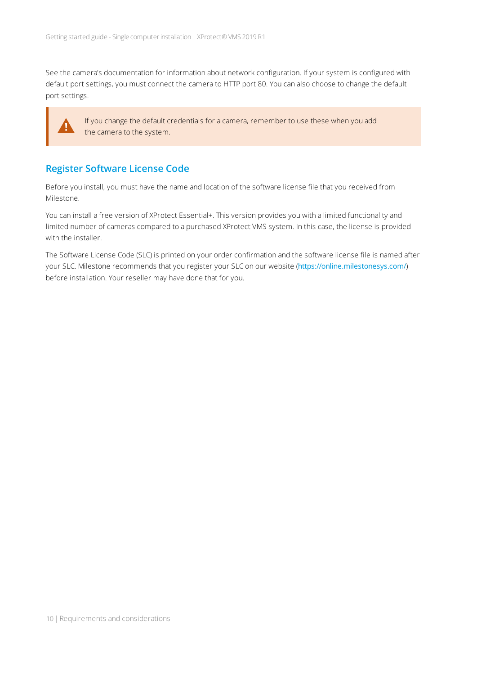See the camera's documentation for information about network configuration. If your system is configured with default port settings, you must connect the camera to HTTP port 80. You can also choose to change the default port settings.



If you change the default credentials for a camera, remember to use these when you add the camera to the system.

### <span id="page-9-0"></span>**Register Software License Code**

Before you install, you must have the name and location of the software license file that you received from Milestone.

You can install a free version of XProtect Essential+. This version provides you with a limited functionality and limited number of cameras compared to a purchased XProtect VMS system. In this case, the license is provided with the installer.

The Software License Code (SLC) is printed on your order confirmation and the software license file is named after your SLC. Milestone recommends that you register your SLC on our website (<https://online.milestonesys.com/>) before installation. Your reseller may have done that for you.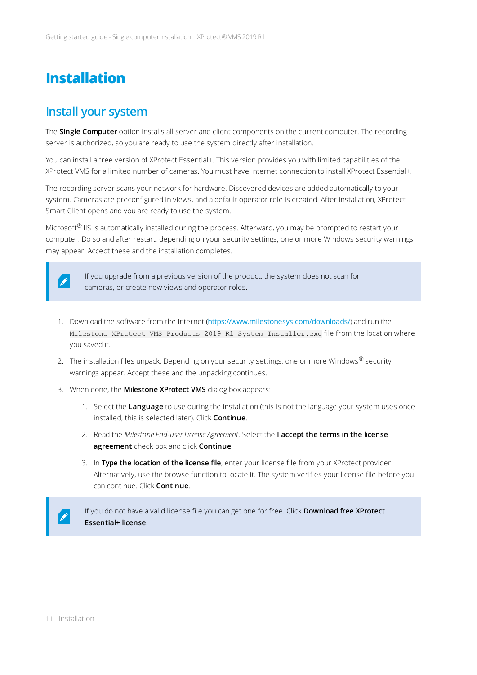## <span id="page-10-1"></span><span id="page-10-0"></span>**Installation**

### **Install your system**

The **Single Computer** option installs all server and client components on the current computer. The recording server is authorized, so you are ready to use the system directly after installation.

You can install a free version of XProtect Essential+. This version provides you with limited capabilities of the XProtect VMS for a limited number of cameras. You must have Internet connection to install XProtect Essential+.

The recording server scans your network for hardware. Discovered devices are added automatically to your system. Cameras are preconfigured in views, and a default operator role is created. After installation, XProtect Smart Client opens and you are ready to use the system.

Microsoft<sup>®</sup> IIS is automatically installed during the process. Afterward, you may be prompted to restart your computer. Do so and after restart, depending on your security settings, one or more Windows security warnings may appear. Accept these and the installation completes.



If you upgrade from a previous version of the product, the system does not scan for cameras, or create new views and operator roles.

- 1. Download the software from the Internet ([https://www.milestonesys.com/downloads/](http://www.milestonesys.com/downloads)) and run the Milestone XProtect VMS Products 2019 R1 System Installer.exe file from the location where you saved it.
- 2. The installation files unpack. Depending on your security settings, one or more Windows® security warnings appear. Accept these and the unpacking continues.
- 3. When done, the **Milestone XProtect VMS** dialog box appears:
	- 1. Select the **Language** to use during the installation (this is not the language your system uses once installed, this is selected later). Click **Continue**.
	- 2. Read the *Milestone End-user License Agreement*. Select the **I accept the terms in the license agreement** check box and click **Continue**.
	- 3. In **Type the location of the license file**, enter your license file from your XProtect provider. Alternatively, use the browse function to locate it. The system verifies your license file before you can continue. Click **Continue**.

If you do not have a valid license file you can get one for free. Click **Download free XProtect Essential+ license**.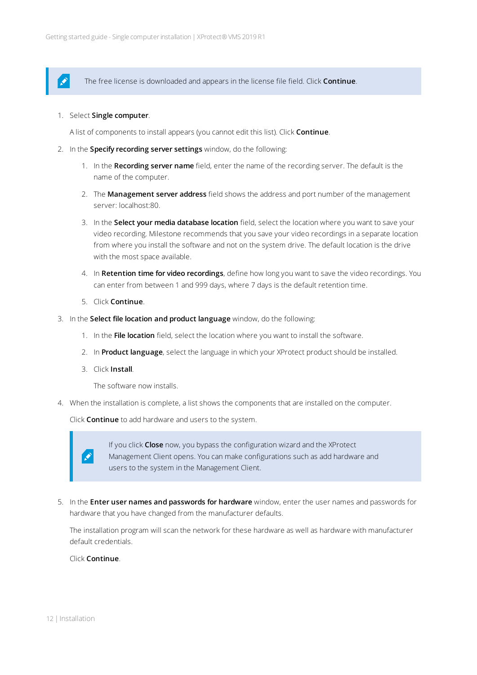The free license is downloaded and appears in the license file field. Click **Continue**.

1. Select **Single computer**.

 $\mathscr{S}$ 

A list of components to install appears (you cannot edit this list). Click **Continue**.

- 2. In the **Specify recording server settings** window, do the following:
	- 1. In the **Recording server name** field, enter the name of the recording server. The default is the name of the computer.
	- 2. The **Management server address** field shows the address and port number of the management server: localhost:80.
	- 3. In the **Select your media database location** field, select the location where you want to save your video recording. Milestone recommends that you save your video recordings in a separate location from where you install the software and not on the system drive. The default location is the drive with the most space available.
	- 4. In **Retention time for video recordings**, define how long you want to save the video recordings. You can enter from between 1 and 999 days, where 7 days is the default retention time.
	- 5. Click **Continue**.
- 3. In the **Select file location and product language** window, do the following:
	- 1. In the **File location** field, select the location where you want to install the software.
	- 2. In **Product language**, select the language in which your XProtect product should be installed.
	- 3. Click **Install**.

The software now installs.

4. When the installation is complete, a list shows the components that are installed on the computer.

Click **Continue** to add hardware and users to the system.

P

If you click **Close** now, you bypass the configuration wizard and the XProtect Management Client opens. You can make configurations such as add hardware and users to the system in the Management Client.

5. In the **Enter user names and passwords for hardware** window, enter the user names and passwords for hardware that you have changed from the manufacturer defaults.

The installation program will scan the network for these hardware as well as hardware with manufacturer default credentials.

#### Click **Continue**.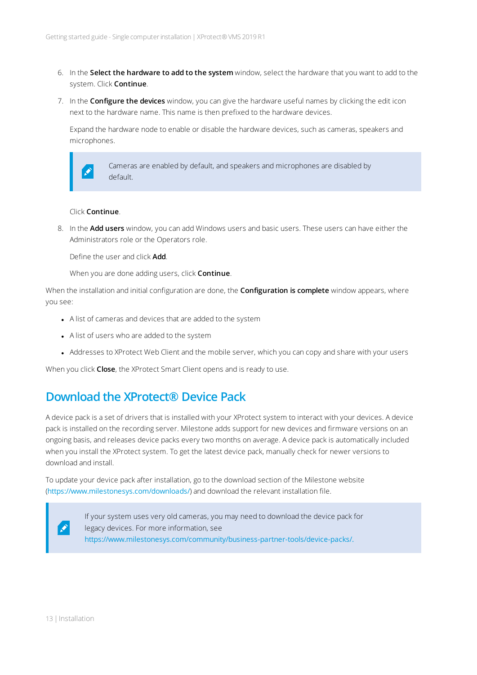- 6. In the **Select the hardware to add to the system** window, select the hardware that you want to add to the system. Click **Continue**.
- 7. In the **Configure the devices** window, you can give the hardware useful names by clicking the edit icon next to the hardware name. This name is then prefixed to the hardware devices.

Expand the hardware node to enable or disable the hardware devices, such as cameras, speakers and microphones.



Cameras are enabled by default, and speakers and microphones are disabled by default.

#### Click **Continue**.

8. In the **Add users** window, you can add Windows users and basic users. These users can have either the Administrators role or the Operators role.

Define the user and click **Add**.

When you are done adding users, click **Continue**.

When the installation and initial configuration are done, the **Configuration is complete** window appears, where you see:

- A list of cameras and devices that are added to the system
- A list of users who are added to the system
- Addresses to XProtect Web Client and the mobile server, which you can copy and share with your users

<span id="page-12-0"></span>When you click **Close**, the XProtect Smart Client opens and is ready to use.

### **Download the XProtect® Device Pack**

A device pack is a set of drivers that is installed with your XProtect system to interact with your devices. A device pack is installed on the recording server. Milestone adds support for new devices and firmware versions on an ongoing basis, and releases device packs every two months on average. A device pack is automatically included when you install the XProtect system. To get the latest device pack, manually check for newer versions to download and install.

To update your device pack after installation, go to the download section of the Milestone website (<https://www.milestonesys.com/downloads/>) and download the relevant installation file.



If your system uses very old cameras, you may need to download the device pack for legacy devices. For more information, see [https://www.milestonesys.com/community/business-partner-tools/device-packs/.](https://www.milestonesys.com/community/business-partner-tools/device-packs/)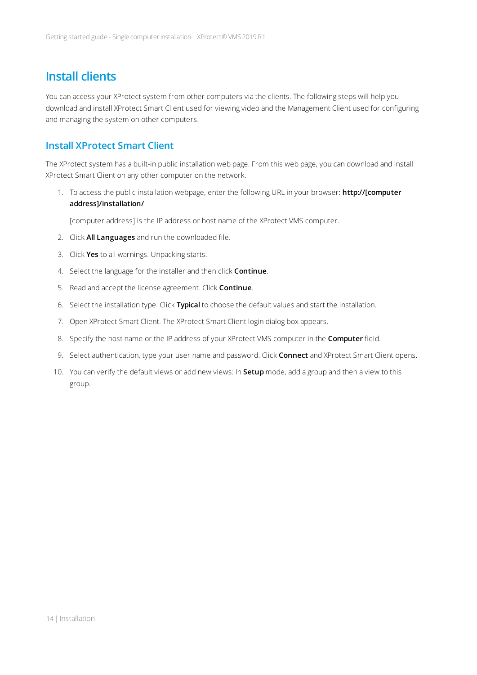### <span id="page-13-0"></span>**Install clients**

You can access your XProtect system from other computers via the clients. The following steps will help you download and install XProtect Smart Client used for viewing video and the Management Client used for configuring and managing the system on other computers.

### <span id="page-13-1"></span>**Install XProtect Smart Client**

The XProtect system has a built-in public installation web page. From this web page, you can download and install XProtect Smart Client on any other computer on the network.

1. To access the public installation webpage, enter the following URL in your browser: **http://[computer address]/installation/**

[computer address] is the IP address or host name of the XProtect VMS computer.

- 2. Click **All Languages** and run the downloaded file.
- 3. Click **Yes** to all warnings. Unpacking starts.
- 4. Select the language for the installer and then click **Continue**.
- 5. Read and accept the license agreement. Click **Continue**.
- 6. Select the installation type. Click **Typical** to choose the default values and start the installation.
- 7. Open XProtect Smart Client. The XProtect Smart Client login dialog box appears.
- 8. Specify the host name or the IP address of your XProtect VMS computer in the **Computer** field.
- 9. Select authentication, type your user name and password. Click **Connect** and XProtect Smart Client opens.
- 10. You can verify the default views or add new views: In **Setup** mode, add a group and then a view to this group.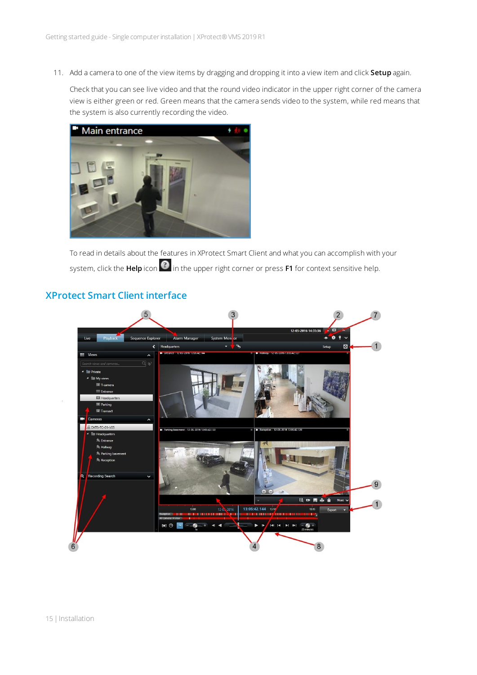11. Add a camera to one of the view items by dragging and dropping it into a view item and click **Setup** again.

Check that you can see live video and that the round video indicator in the upper right corner of the camera view is either green or red. Green means that the camera sends video to the system, while red means that the system is also currently recording the video.



To read in details about the features in XProtect Smart Client and what you can accomplish with your system, click the **Help** icon  $\bullet$  in the upper right corner or press **F1** for context sensitive help.

### <span id="page-14-0"></span>**XProtect Smart Client interface**

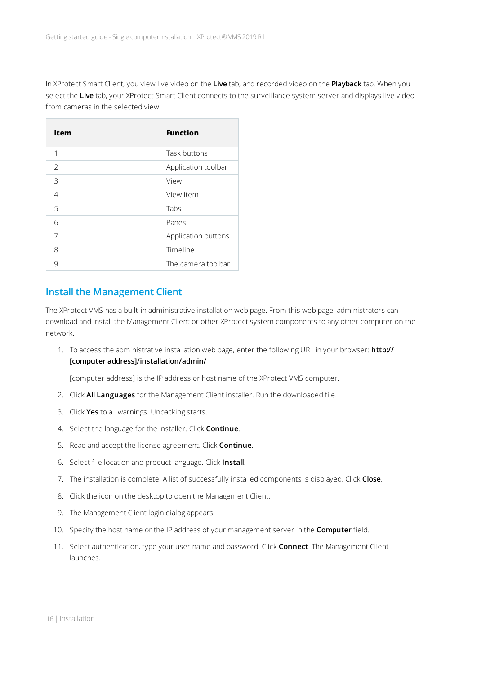In XProtect Smart Client, you view live video on the **Live** tab, and recorded video on the **Playback** tab. When you select the **Live** tab, your XProtect Smart Client connects to the surveillance system server and displays live video from cameras in the selected view.

| Item           | <b>Function</b>     |
|----------------|---------------------|
| 1              | Task buttons        |
| $\overline{2}$ | Application toolbar |
| 3              | View                |
| $\overline{4}$ | View item           |
| 5              | Tabs                |
| 6              | Panes               |
| 7              | Application buttons |
| 8              | Timeline            |
| 9              | The camera toolbar  |

### <span id="page-15-0"></span>**Install the Management Client**

 $\overline{a}$ 

The XProtect VMS has a built-in administrative installation web page. From this web page, administrators can download and install the Management Client or other XProtect system components to any other computer on the network.

1. To access the administrative installation web page, enter the following URL in your browser: **http:// [computer address]/installation/admin/**

[computer address] is the IP address or host name of the XProtect VMS computer.

- 2. Click **All Languages** for the Management Client installer. Run the downloaded file.
- 3. Click **Yes** to all warnings. Unpacking starts.
- 4. Select the language for the installer. Click **Continue**.
- 5. Read and accept the license agreement. Click **Continue**.
- 6. Select file location and product language. Click **Install**.
- 7. The installation is complete. A list of successfully installed components is displayed. Click **Close**.
- 8. Click the icon on the desktop to open the Management Client.
- 9. The Management Client login dialog appears.
- 10. Specify the host name or the IP address of your management server in the **Computer** field.
- 11. Select authentication, type your user name and password. Click **Connect**. The Management Client launches.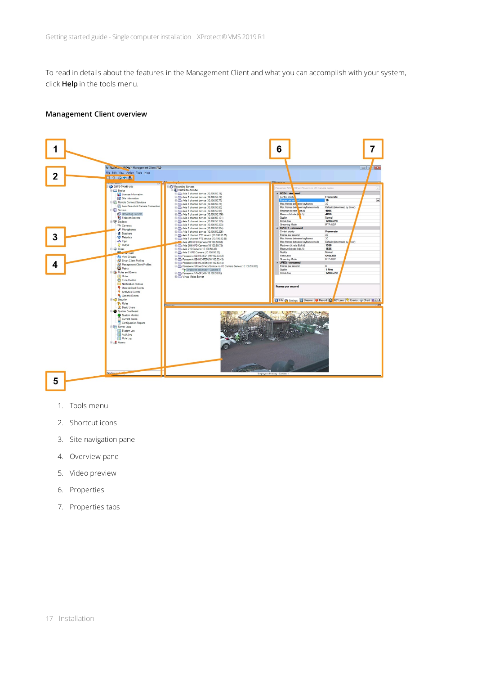To read in details about the features in the Management Client and what you can accomplish with your system, click **Help** in the tools menu.

#### **Management Client overview**



- 1. Tools menu
- 2. Shortcut icons
- 3. Site navigation pane
- 4. Overview pane
- 5. Video preview
- 6. Properties
- 7. Properties tabs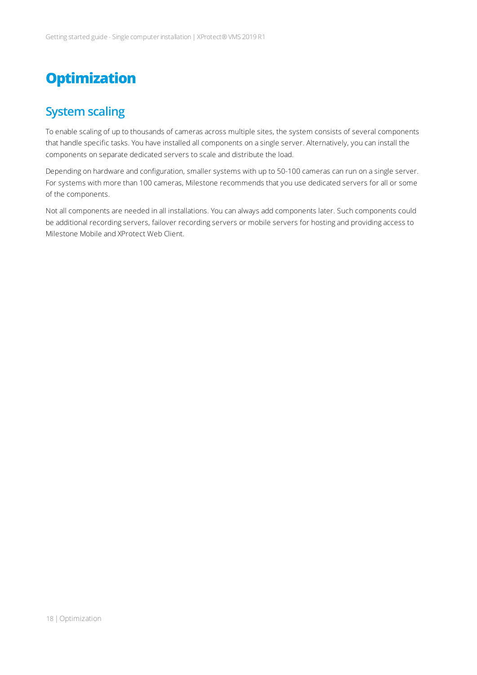# <span id="page-17-1"></span><span id="page-17-0"></span>**Optimization**

### **System scaling**

To enable scaling of up to thousands of cameras across multiple sites, the system consists of several components that handle specific tasks. You have installed all components on a single server. Alternatively, you can install the components on separate dedicated servers to scale and distribute the load.

Depending on hardware and configuration, smaller systems with up to 50-100 cameras can run on a single server. For systems with more than 100 cameras, Milestone recommends that you use dedicated servers for all or some of the components.

Not all components are needed in all installations. You can always add components later. Such components could be additional recording servers, failover recording servers or mobile servers for hosting and providing access to Milestone Mobile and XProtect Web Client.